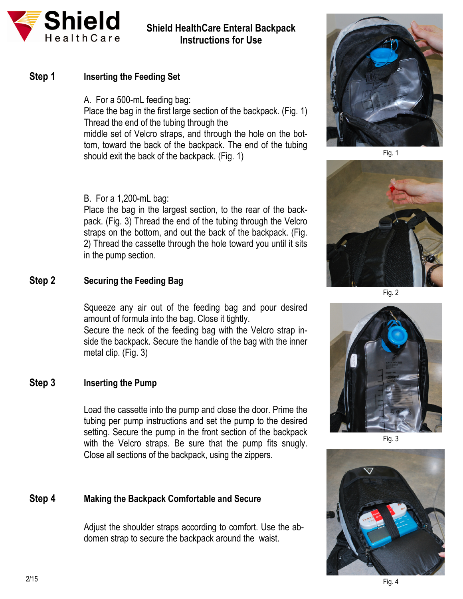

# **Shield HealthCare Enteral Backpack Instructions for Use**

## **Step 1** Inserting the Feeding Set

A. For a 500-mL feeding bag: Place the bag in the first large section of the backpack. (Fig. 1) Thread the end of the tubing through the middle set of Velcro straps, and through the hole on the bottom, toward the back of the backpack. The end of the tubing should exit the back of the backpack. (Fig. 1)

#### B. For a 1,200-mL bag:

Place the bag in the largest section, to the rear of the backpack. (Fig. 3) Thread the end of the tubing through the Velcro straps on the bottom, and out the back of the backpack. (Fig. 2) Thread the cassette through the hole toward you until it sits in the pump section.

# **Step 2 Securing the Feeding Bag**

Squeeze any air out of the feeding bag and pour desired amount of formula into the bag. Close it tightly.

Secure the neck of the feeding bag with the Velcro strap inside the backpack. Secure the handle of the bag with the inner metal clip. (Fig. 3)

## **Step 3 Inserting the Pump**

Load the cassette into the pump and close the door. Prime the tubing per pump instructions and set the pump to the desired setting. Secure the pump in the front section of the backpack with the Velcro straps. Be sure that the pump fits snugly. Close all sections of the backpack, using the zippers.

## **Step 4 Making the Backpack Comfortable and Secure**

Adjust the shoulder straps according to comfort. Use the abdomen strap to secure the backpack around the waist.







Fig. 2



Fig. 3